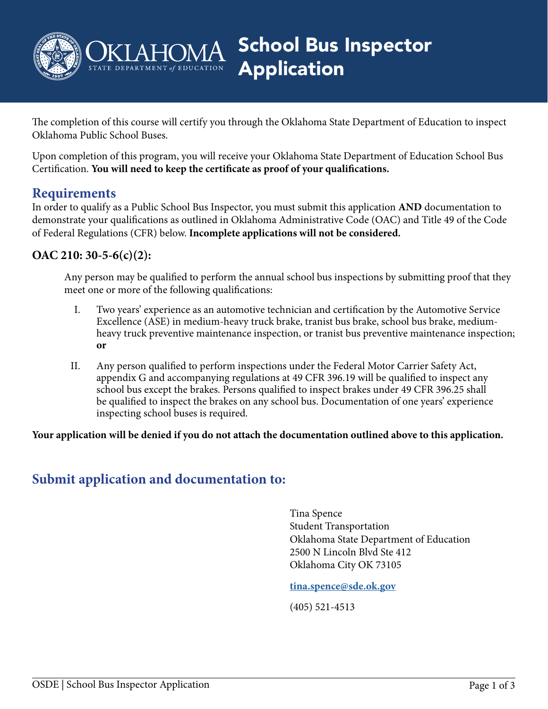

School Bus Inspector Application

The completion of this course will certify you through the Oklahoma State Department of Education to inspect Oklahoma Public School Buses.

Upon completion of this program, you will receive your Oklahoma State Department of Education School Bus Certification. **You will need to keep the certificate as proof of your qualifications.**

### **Requirements**

In order to qualify as a Public School Bus Inspector, you must submit this application **AND** documentation to demonstrate your qualifications as outlined in Oklahoma Administrative Code (OAC) and Title 49 of the Code of Federal Regulations (CFR) below. **Incomplete applications will not be considered.**

### **OAC 210: 30-5-6(c)(2):**

Any person may be qualified to perform the annual school bus inspections by submitting proof that they meet one or more of the following qualifications:

- I. Two years' experience as an automotive technician and certification by the Automotive Service Excellence (ASE) in medium-heavy truck brake, tranist bus brake, school bus brake, mediumheavy truck preventive maintenance inspection, or tranist bus preventive maintenance inspection; **or**
- II. Any person qualified to perform inspections under the Federal Motor Carrier Safety Act, appendix G and accompanying regulations at 49 CFR 396.19 will be qualified to inspect any school bus except the brakes. Persons qualified to inspect brakes under 49 CFR 396.25 shall be qualified to inspect the brakes on any school bus. Documentation of one years' experience inspecting school buses is required.

**Your application will be denied if you do not attach the documentation outlined above to this application.**

## **Submit application and documentation to:**

Tina Spence Student Transportation Oklahoma State Department of Education 2500 N Lincoln Blvd Ste 412 Oklahoma City OK 73105

#### **[tina.spence@sde.ok.gov](mailto:tina.spence@sde.ok.gov)**

(405) 521-4513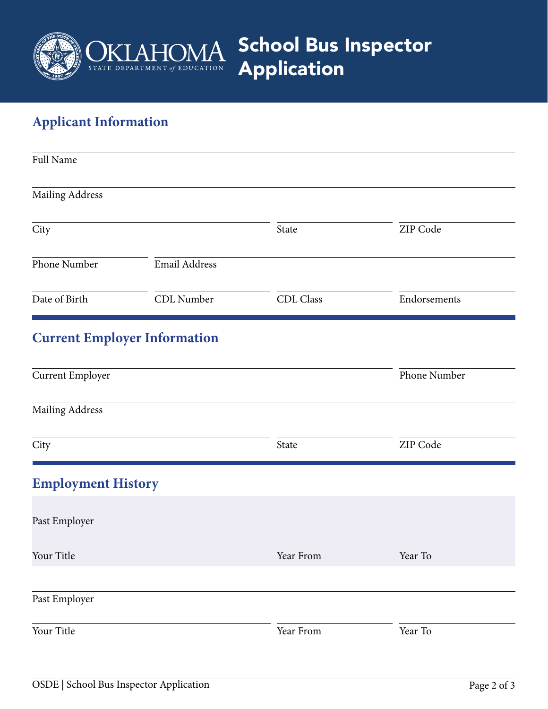

School Bus Inspector Application

# **Applicant Information**

| <b>Full Name</b>          |                                     |           |              |  |  |
|---------------------------|-------------------------------------|-----------|--------------|--|--|
| Mailing Address           |                                     |           |              |  |  |
| City                      |                                     | State     | ZIP Code     |  |  |
| Phone Number              | Email Address                       |           |              |  |  |
| Date of Birth             | CDL Number                          | CDL Class | Endorsements |  |  |
|                           | <b>Current Employer Information</b> |           |              |  |  |
| <b>Current Employer</b>   |                                     |           | Phone Number |  |  |
| <b>Mailing Address</b>    |                                     |           |              |  |  |
| City                      |                                     | State     | ZIP Code     |  |  |
| <b>Employment History</b> |                                     |           |              |  |  |
| Past Employer             |                                     |           |              |  |  |
| Your Title                |                                     | Year From | Year To      |  |  |
| Past Employer             |                                     |           |              |  |  |
| Your Title                |                                     | Year From | Year To      |  |  |